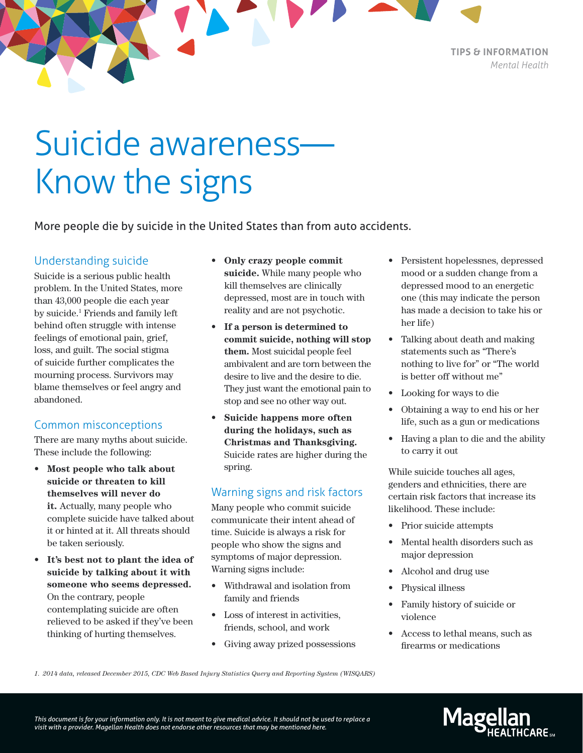**TIPS & INFORMATION** *Mental Health*

# Suicide awareness— Know the signs

More people die by suicide in the United States than from auto accidents.

#### Understanding suicide

Suicide is a serious public health problem. In the United States, more than 43,000 people die each year by suicide.<sup>1</sup> Friends and family left behind often struggle with intense feelings of emotional pain, grief, loss, and guilt. The social stigma of suicide further complicates the mourning process. Survivors may blame themselves or feel angry and abandoned.

### Common misconceptions

There are many myths about suicide. These include the following:

- **• Most people who talk about suicide or threaten to kill themselves will never do it.** Actually, many people who complete suicide have talked about it or hinted at it. All threats should be taken seriously.
- **• It's best not to plant the idea of suicide by talking about it with someone who seems depressed.**  On the contrary, people contemplating suicide are often relieved to be asked if they've been thinking of hurting themselves.
- **• Only crazy people commit suicide.** While many people who kill themselves are clinically depressed, most are in touch with reality and are not psychotic.
- **• If a person is determined to commit suicide, nothing will stop them.** Most suicidal people feel ambivalent and are torn between the desire to live and the desire to die. They just want the emotional pain to stop and see no other way out.
- **• Suicide happens more often during the holidays, such as Christmas and Thanksgiving.** Suicide rates are higher during the spring.

### Warning signs and risk factors

Many people who commit suicide communicate their intent ahead of time. Suicide is always a risk for people who show the signs and symptoms of major depression. Warning signs include:

- Withdrawal and isolation from family and friends
- Loss of interest in activities, friends, school, and work
- Giving away prized possessions
- Persistent hopelessnes, depressed mood or a sudden change from a depressed mood to an energetic one (this may indicate the person has made a decision to take his or her life)
- Talking about death and making statements such as "There's nothing to live for" or "The world is better off without me"
- Looking for ways to die
- Obtaining a way to end his or her life, such as a gun or medications
- Having a plan to die and the ability to carry it out

While suicide touches all ages, genders and ethnicities, there are certain risk factors that increase its likelihood. These include:

- Prior suicide attempts
- Mental health disorders such as major depression
- Alcohol and drug use
- Physical illness
- Family history of suicide or violence
- Access to lethal means, such as firearms or medications

*1. 2014 data, released December 2015, CDC Web Based Injury Statistics Query and Reporting System (WISQARS)*

*This document is for your information only. It is not meant to give medical advice. It should not be used to replace a visit with a provider. Magellan Health does not endorse other resources that may be mentioned here.*